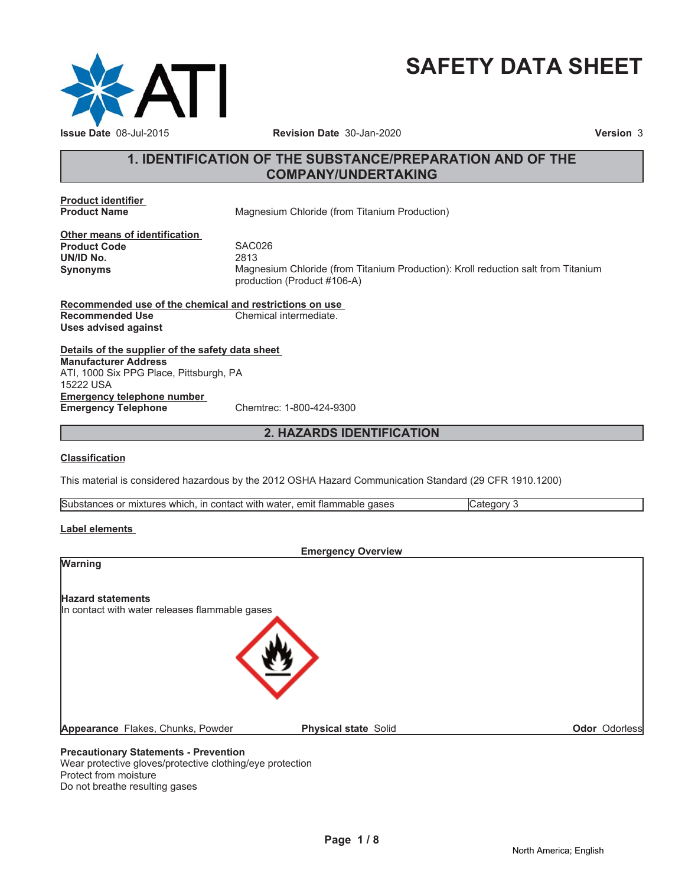

# **SAFETY DATA SHEET**

# **1. IDENTIFICATION OF THE SUBSTANCE/PREPARATION AND OF THE COMPANY/UNDERTAKING**

**Product identifier**

**Magnesium Chloride (from Titanium Production)** 

**Other means of identification Product Code 5AC026**<br> **UN/ID No.** 2813 **UN/ID No.** 

**Synonyms** Magnesium Chloride (from Titanium Production): Kroll reduction salt from Titanium production (Product #106-A)

**Recommended use of the chemical and restrictions on use Recommended Use Chemical intermediate. Uses advised against**

**Details of the supplier of the safety data sheet Emergency telephone number Emergency Telephone** Chemtrec: 1-800-424-9300 **Manufacturer Address** ATI, 1000 Six PPG Place, Pittsburgh, PA 15222 USA

# **2. HAZARDS IDENTIFICATION**

#### **Classification**

This material is considered hazardous by the 2012 OSHA Hazard Communication Standard (29 CFR 1910.1200)

| Substances or mixtures which.<br>n, in contact with water, emit flammable gases |  |
|---------------------------------------------------------------------------------|--|

#### **Label elements**

| <b>Emergency Overview</b>                      |                             |               |
|------------------------------------------------|-----------------------------|---------------|
| <b>Warning</b>                                 |                             |               |
| <b>Hazard statements</b>                       |                             |               |
| In contact with water releases flammable gases |                             |               |
|                                                |                             |               |
|                                                |                             |               |
|                                                |                             |               |
|                                                |                             |               |
| Appearance Flakes, Chunks, Powder              | <b>Physical state Solid</b> | Odor Odorless |
|                                                |                             |               |

#### **Precautionary Statements - Prevention**

Wear protective gloves/protective clothing/eye protection Protect from moisture Do not breathe resulting gases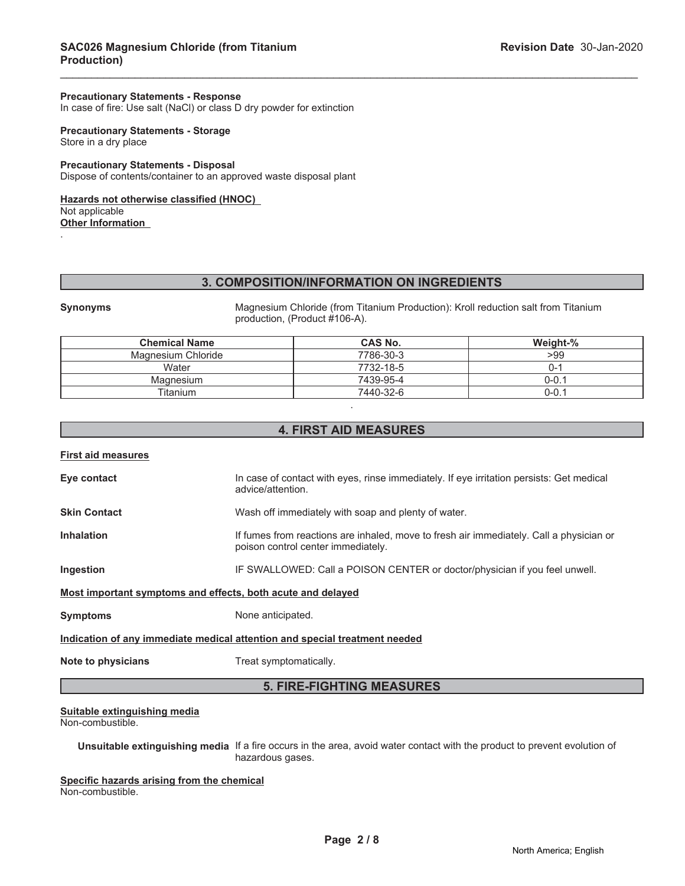#### **Precautionary Statements - Response**

In case of fire: Use salt (NaCl) or class D dry powder for extinction

#### **Precautionary Statements - Storage** Store in a dry place

#### **Precautionary Statements - Disposal** Dispose of contents/container to an approved waste disposal plant

#### **Hazards not otherwise classified (HNOC)**

Not applicable

**Other Information** .

#### **3. COMPOSITION/INFORMATION ON INGREDIENTS**

\_\_\_\_\_\_\_\_\_\_\_\_\_\_\_\_\_\_\_\_\_\_\_\_\_\_\_\_\_\_\_\_\_\_\_\_\_\_\_\_\_\_\_\_\_\_\_\_\_\_\_\_\_\_\_\_\_\_\_\_\_\_\_\_\_\_\_\_\_\_\_\_\_\_\_\_\_\_\_\_\_\_\_\_\_\_\_\_\_\_\_\_\_

**Synonyms** Magnesium Chloride (from Titanium Production): Kroll reduction salt from Titanium production, (Product #106-A).

| <b>Chemical Name</b> | <b>CAS No.</b> | Weight-%  |
|----------------------|----------------|-----------|
| Magnesium Chloride   | 7786-30-3      | >99       |
| Water                | 7732-18-5      | J-1       |
| Magnesium            | 7439-95-4      | $0 - 0.1$ |
| Titanium             | 7440-32-6      | $0 - 0.1$ |

# **4. FIRST AID MEASURES**

.

#### **First aid measures**

| Eye contact                                                                | In case of contact with eyes, rinse immediately. If eye irritation persists: Get medical<br>advice/attention.                 |  |
|----------------------------------------------------------------------------|-------------------------------------------------------------------------------------------------------------------------------|--|
| <b>Skin Contact</b>                                                        | Wash off immediately with soap and plenty of water.                                                                           |  |
| <b>Inhalation</b>                                                          | If fumes from reactions are inhaled, move to fresh air immediately. Call a physician or<br>poison control center immediately. |  |
| Ingestion                                                                  | IF SWALLOWED: Call a POISON CENTER or doctor/physician if you feel unwell.                                                    |  |
| Most important symptoms and effects, both acute and delayed                |                                                                                                                               |  |
| <b>Symptoms</b>                                                            | None anticipated.                                                                                                             |  |
| Indication of any immediate medical attention and special treatment needed |                                                                                                                               |  |
| Note to physicians                                                         | Treat symptomatically.                                                                                                        |  |

# **5. FIRE-FIGHTING MEASURES**

#### **Suitable extinguishing media**

Non-combustible.

**Unsuitable extinguishing media** If a fire occurs in the area, avoid water contact with the product to prevent evolution of hazardous gases.

**Specific hazards arising from the chemical** Non-combustible.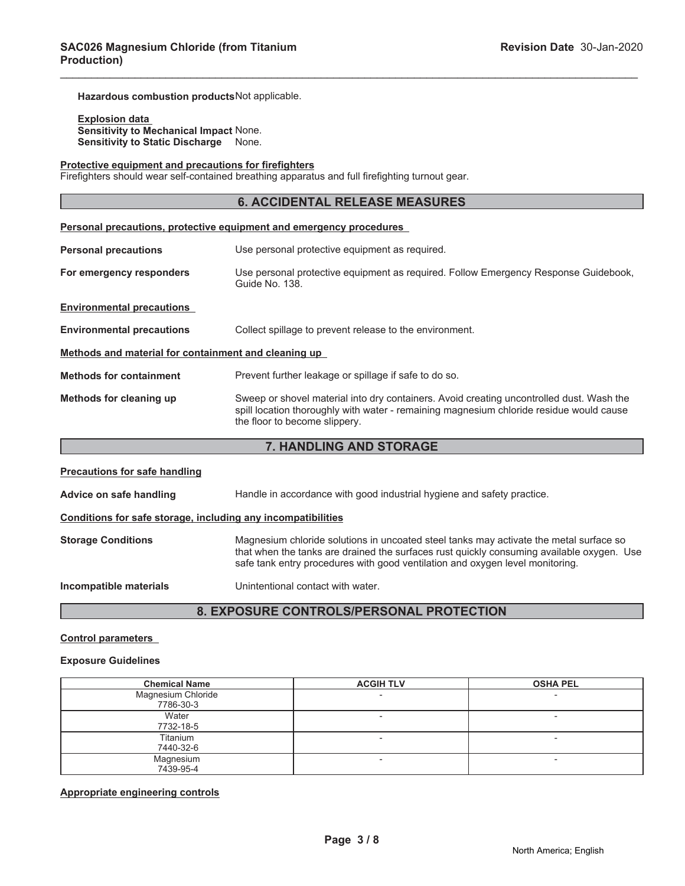**Hazardous combustion products**Not applicable.

**Explosion data Sensitivity to Mechanical Impact** None. **Sensitivity to Static Discharge** None.

#### **Protective equipment and precautions for firefighters**

Firefighters should wear self-contained breathing apparatus and full firefighting turnout gear.

#### **6. ACCIDENTAL RELEASE MEASURES**

\_\_\_\_\_\_\_\_\_\_\_\_\_\_\_\_\_\_\_\_\_\_\_\_\_\_\_\_\_\_\_\_\_\_\_\_\_\_\_\_\_\_\_\_\_\_\_\_\_\_\_\_\_\_\_\_\_\_\_\_\_\_\_\_\_\_\_\_\_\_\_\_\_\_\_\_\_\_\_\_\_\_\_\_\_\_\_\_\_\_\_\_\_

|                                                      | <b>Personal precautions, protective equipment and emergency procedures</b>                                                                                                                                           |  |
|------------------------------------------------------|----------------------------------------------------------------------------------------------------------------------------------------------------------------------------------------------------------------------|--|
| <b>Personal precautions</b>                          | Use personal protective equipment as required.                                                                                                                                                                       |  |
| For emergency responders                             | Use personal protective equipment as required. Follow Emergency Response Guidebook,<br>Guide No. 138.                                                                                                                |  |
| <b>Environmental precautions</b>                     |                                                                                                                                                                                                                      |  |
| <b>Environmental precautions</b>                     | Collect spillage to prevent release to the environment.                                                                                                                                                              |  |
| Methods and material for containment and cleaning up |                                                                                                                                                                                                                      |  |
| <b>Methods for containment</b>                       | Prevent further leakage or spillage if safe to do so.                                                                                                                                                                |  |
| Methods for cleaning up                              | Sweep or shovel material into dry containers. Avoid creating uncontrolled dust. Wash the<br>spill location thoroughly with water - remaining magnesium chloride residue would cause<br>the floor to become slippery. |  |

#### **7. HANDLING AND STORAGE**

| <b>Precautions for safe handling</b>                         |                                                                                                                                                                                                                                                                      |
|--------------------------------------------------------------|----------------------------------------------------------------------------------------------------------------------------------------------------------------------------------------------------------------------------------------------------------------------|
| Advice on safe handling                                      | Handle in accordance with good industrial hygiene and safety practice.                                                                                                                                                                                               |
| Conditions for safe storage, including any incompatibilities |                                                                                                                                                                                                                                                                      |
| <b>Storage Conditions</b>                                    | Magnesium chloride solutions in uncoated steel tanks may activate the metal surface so<br>that when the tanks are drained the surfaces rust quickly consuming available oxygen. Use<br>safe tank entry procedures with good ventilation and oxygen level monitoring. |
| Incompatible materials                                       | Unintentional contact with water.                                                                                                                                                                                                                                    |

# **8. EXPOSURE CONTROLS/PERSONAL PROTECTION**

#### **Control parameters**

#### **Exposure Guidelines**

| <b>Chemical Name</b>            | <b>ACGIH TLV</b> | <b>OSHA PEL</b>          |
|---------------------------------|------------------|--------------------------|
| Magnesium Chloride<br>7786-30-3 |                  | -                        |
| Water<br>7732-18-5              |                  |                          |
| Titanium<br>7440-32-6           |                  |                          |
| Magnesium<br>7439-95-4          |                  | $\overline{\phantom{0}}$ |

# **Appropriate engineering controls**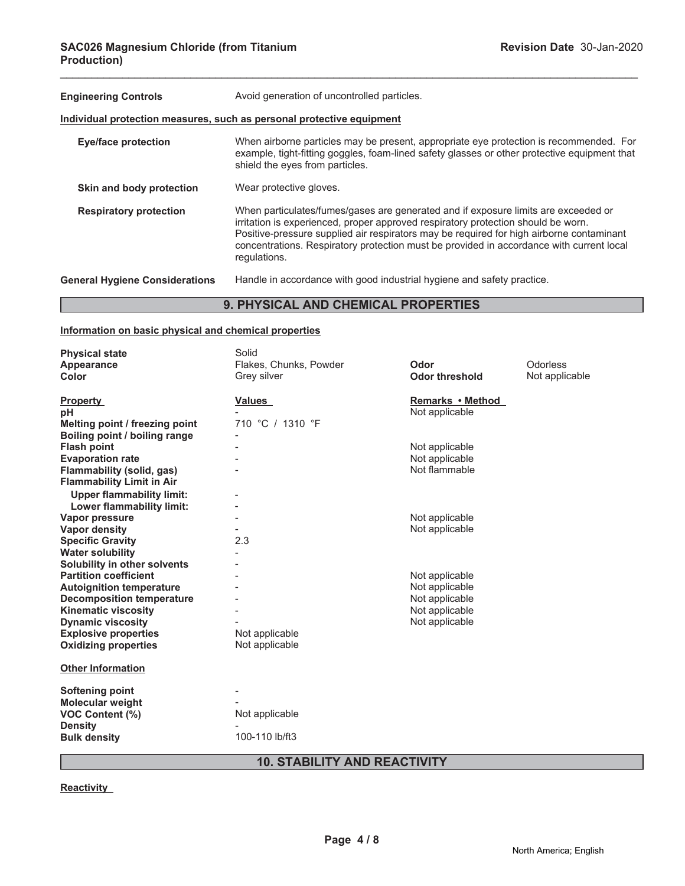| <b>Engineering Controls</b>                | Avoid generation of uncontrolled particles.                                                                                                                                                                                                                                                                                                                                     |  |  |
|--------------------------------------------|---------------------------------------------------------------------------------------------------------------------------------------------------------------------------------------------------------------------------------------------------------------------------------------------------------------------------------------------------------------------------------|--|--|
|                                            | Individual protection measures, such as personal protective equipment                                                                                                                                                                                                                                                                                                           |  |  |
| <b>Eye/face protection</b>                 | When airborne particles may be present, appropriate eye protection is recommended. For<br>example, tight-fitting goggles, foam-lined safety glasses or other protective equipment that<br>shield the eyes from particles.                                                                                                                                                       |  |  |
| Skin and body protection                   | Wear protective gloves.                                                                                                                                                                                                                                                                                                                                                         |  |  |
| <b>Respiratory protection</b>              | When particulates/fumes/gases are generated and if exposure limits are exceeded or<br>irritation is experienced, proper approved respiratory protection should be worn.<br>Positive-pressure supplied air respirators may be required for high airborne contaminant<br>concentrations. Respiratory protection must be provided in accordance with current local<br>requlations. |  |  |
| <b>General Hygiene Considerations</b>      | Handle in accordance with good industrial hygiene and safety practice.                                                                                                                                                                                                                                                                                                          |  |  |
| <b>9. PHYSICAL AND CHEMICAL PROPERTIES</b> |                                                                                                                                                                                                                                                                                                                                                                                 |  |  |

\_\_\_\_\_\_\_\_\_\_\_\_\_\_\_\_\_\_\_\_\_\_\_\_\_\_\_\_\_\_\_\_\_\_\_\_\_\_\_\_\_\_\_\_\_\_\_\_\_\_\_\_\_\_\_\_\_\_\_\_\_\_\_\_\_\_\_\_\_\_\_\_\_\_\_\_\_\_\_\_\_\_\_\_\_\_\_\_\_\_\_\_\_

# **Information on basic physical and chemical properties**

| <b>Physical state</b>            | Solid                  |                       |                |
|----------------------------------|------------------------|-----------------------|----------------|
| Appearance                       | Flakes, Chunks, Powder | Odor                  | Odorless       |
| Color                            | Grey silver            | <b>Odor threshold</b> | Not applicable |
| <b>Property</b>                  | <b>Values</b>          | Remarks • Method      |                |
| рH                               |                        | Not applicable        |                |
| Melting point / freezing point   | 710 °C / 1310 °F       |                       |                |
| Boiling point / boiling range    |                        |                       |                |
| <b>Flash point</b>               |                        | Not applicable        |                |
| <b>Evaporation rate</b>          |                        | Not applicable        |                |
| Flammability (solid, gas)        |                        | Not flammable         |                |
| <b>Flammability Limit in Air</b> |                        |                       |                |
| <b>Upper flammability limit:</b> |                        |                       |                |
| Lower flammability limit:        |                        |                       |                |
| Vapor pressure                   |                        | Not applicable        |                |
| <b>Vapor density</b>             |                        | Not applicable        |                |
| <b>Specific Gravity</b>          | 2.3                    |                       |                |
| <b>Water solubility</b>          |                        |                       |                |
| Solubility in other solvents     |                        |                       |                |
| <b>Partition coefficient</b>     |                        | Not applicable        |                |
| <b>Autoignition temperature</b>  |                        | Not applicable        |                |
| <b>Decomposition temperature</b> |                        | Not applicable        |                |
| <b>Kinematic viscosity</b>       |                        | Not applicable        |                |
| <b>Dynamic viscosity</b>         |                        | Not applicable        |                |
| <b>Explosive properties</b>      | Not applicable         |                       |                |
| <b>Oxidizing properties</b>      | Not applicable         |                       |                |
| <b>Other Information</b>         |                        |                       |                |
| <b>Softening point</b>           |                        |                       |                |
| <b>Molecular weight</b>          |                        |                       |                |
| VOC Content (%)                  | Not applicable         |                       |                |
| <b>Density</b>                   |                        |                       |                |
| <b>Bulk density</b>              | 100-110 lb/ft3         |                       |                |
|                                  |                        |                       |                |

# **10. STABILITY AND REACTIVITY**

**Reactivity**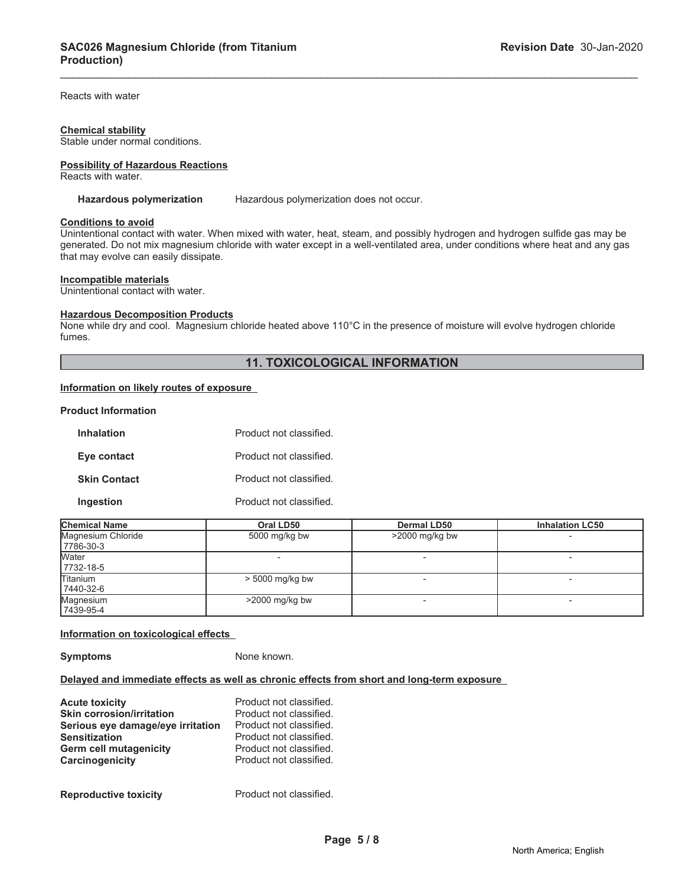Reacts with water

#### **Chemical stability**

Stable under normal conditions.

**Possibility of Hazardous Reactions** Reacts with water.

**Hazardous polymerization** Hazardous polymerization does not occur.

#### **Conditions to avoid**

Unintentional contact with water. When mixed with water, heat, steam, and possibly hydrogen and hydrogen sulfide gas may be generated. Do not mix magnesium chloride with water except in a well-ventilated area, under conditions where heat and any gas that may evolve can easily dissipate.

\_\_\_\_\_\_\_\_\_\_\_\_\_\_\_\_\_\_\_\_\_\_\_\_\_\_\_\_\_\_\_\_\_\_\_\_\_\_\_\_\_\_\_\_\_\_\_\_\_\_\_\_\_\_\_\_\_\_\_\_\_\_\_\_\_\_\_\_\_\_\_\_\_\_\_\_\_\_\_\_\_\_\_\_\_\_\_\_\_\_\_\_\_

#### **Incompatible materials**

Unintentional contact with water.

#### **Hazardous Decomposition Products**

None while dry and cool. Magnesium chloride heated above 110°C in the presence of moisture will evolve hydrogen chloride fumes.

#### **11. TOXICOLOGICAL INFORMATION**

# **Information on likely routes of exposure**

#### **Product Information**

| <b>Inhalation</b>   | Product not classified. |
|---------------------|-------------------------|
| Eye contact         | Product not classified. |
| <b>Skin Contact</b> | Product not classified. |
| Ingestion           | Product not classified. |

| <b>Chemical Name</b> | Oral LD50         | <b>Dermal LD50</b> | <b>Inhalation LC50</b> |
|----------------------|-------------------|--------------------|------------------------|
| Magnesium Chloride   | 5000 mg/kg bw     | $>2000$ mg/kg bw   |                        |
| 7786-30-3            |                   |                    |                        |
| <b>Water</b>         |                   |                    |                        |
| 7732-18-5            |                   |                    |                        |
| <b>Titanium</b>      | $> 5000$ mg/kg bw |                    |                        |
| 17440-32-6           |                   |                    |                        |
| Magnesium            | $>2000$ mg/kg bw  |                    |                        |
| 7439-95-4            |                   |                    |                        |

#### **Information on toxicological effects**

**Symptoms** None known.

#### **Delayed and immediate effects as well as chronic effects from short and long-term exposure**

| <b>Acute toxicity</b>             | Product not classified. |
|-----------------------------------|-------------------------|
| <b>Skin corrosion/irritation</b>  | Product not classified. |
| Serious eye damage/eye irritation | Product not classified. |
| <b>Sensitization</b>              | Product not classified. |
| <b>Germ cell mutagenicity</b>     | Product not classified. |
| Carcinogenicity                   | Product not classified. |
| <b>Reproductive toxicity</b>      | Product not classified. |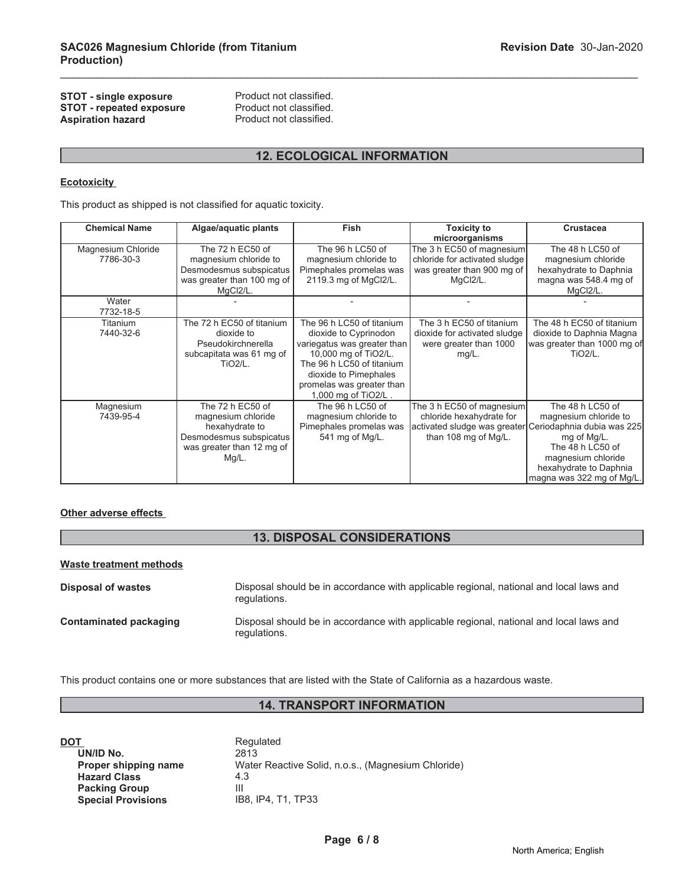#### **STOT - single exposure** Product not classified.<br> **STOT - repeated exposure** Product not classified. **STOT - repeated exposure** Product not classified.<br> **Aspiration hazard** Product not classified. **Aspiration hazard**

# **12. ECOLOGICAL INFORMATION**

\_\_\_\_\_\_\_\_\_\_\_\_\_\_\_\_\_\_\_\_\_\_\_\_\_\_\_\_\_\_\_\_\_\_\_\_\_\_\_\_\_\_\_\_\_\_\_\_\_\_\_\_\_\_\_\_\_\_\_\_\_\_\_\_\_\_\_\_\_\_\_\_\_\_\_\_\_\_\_\_\_\_\_\_\_\_\_\_\_\_\_\_\_

### **Ecotoxicity**

This product as shipped is not classified for aquatic toxicity.

| <b>Chemical Name</b>            | Algae/aquatic plants                                                                                                         | <b>Fish</b>                                                                                                                                                                                                         | <b>Toxicity to</b>                                                                                   | <b>Crustacea</b>                                                                                                                                                                                                     |
|---------------------------------|------------------------------------------------------------------------------------------------------------------------------|---------------------------------------------------------------------------------------------------------------------------------------------------------------------------------------------------------------------|------------------------------------------------------------------------------------------------------|----------------------------------------------------------------------------------------------------------------------------------------------------------------------------------------------------------------------|
|                                 |                                                                                                                              |                                                                                                                                                                                                                     | microorganisms                                                                                       |                                                                                                                                                                                                                      |
| Magnesium Chloride<br>7786-30-3 | The 72 h EC50 of<br>magnesium chloride to<br>Desmodesmus subspicatus<br>was greater than 100 mg of                           | The 96 h LC50 of<br>magnesium chloride to<br>Pimephales promelas was<br>2119.3 mg of MgCl2/L.                                                                                                                       | The 3 h EC50 of magnesium<br>chloride for activated sludge<br>was greater than 900 mg of<br>MgCl2/L. | The 48 h LC50 of<br>magnesium chloride<br>hexahydrate to Daphnia<br>magna was 548.4 mg of                                                                                                                            |
| Water<br>7732-18-5              | MgCl2/L.                                                                                                                     |                                                                                                                                                                                                                     |                                                                                                      | MgCl2/L.                                                                                                                                                                                                             |
| Titanium<br>7440-32-6           | The 72 h EC50 of titanium<br>dioxide to<br>Pseudokirchnerella<br>subcapitata was 61 mg of<br>$TiO2/L$ .                      | The 96 h LC50 of titanium<br>dioxide to Cyprinodon<br>variegatus was greater than<br>10,000 mg of TiO2/L.<br>The 96 h LC50 of titanium<br>dioxide to Pimephales<br>promelas was greater than<br>1,000 mg of TiO2/L. | The 3 h EC50 of titanium<br>dioxide for activated sludge<br>were greater than 1000<br>$mg/L$ .       | The 48 h EC50 of titanium<br>dioxide to Daphnia Magna<br>was greater than 1000 mg of<br><b>TiO2/L.</b>                                                                                                               |
| Magnesium<br>7439-95-4          | The 72 h EC50 of<br>magnesium chloride<br>hexahydrate to<br>Desmodesmus subspicatus<br>was greater than 12 mg of<br>$Mg/L$ . | The 96 h LC50 of<br>magnesium chloride to<br>Pimephales promelas was<br>541 mg of Mg/L.                                                                                                                             | The 3 h EC50 of magnesium<br>chloride hexahydrate for<br>than 108 mg of Mg/L.                        | The 48 h LC50 of<br>magnesium chloride to<br>activated sludge was greater Ceriodaphnia dubia was 225<br>mg of Mg/L.<br>The 48 h LC50 of<br>magnesium chloride<br>hexahydrate to Daphnia<br>magna was 322 mg of Mg/L. |

#### **Other adverse effects**

# **13. DISPOSAL CONSIDERATIONS**

#### **Waste treatment methods**

| Disposal of wastes            | Disposal should be in accordance with applicable regional, national and local laws and<br>regulations. |
|-------------------------------|--------------------------------------------------------------------------------------------------------|
| <b>Contaminated packaging</b> | Disposal should be in accordance with applicable regional, national and local laws and<br>regulations. |

This product contains one or more substances that are listed with the State of California as a hazardous waste.

# **14. TRANSPORT INFORMATION**

| DOT                       | Regulated                                          |
|---------------------------|----------------------------------------------------|
| UN/ID No.                 | 2813                                               |
| Proper shipping name      | Water Reactive Solid, n.o.s., (Magnesium Chloride) |
| <b>Hazard Class</b>       | 4.3                                                |
| <b>Packing Group</b>      | Ш                                                  |
| <b>Special Provisions</b> | IB8. IP4. T1. TP33                                 |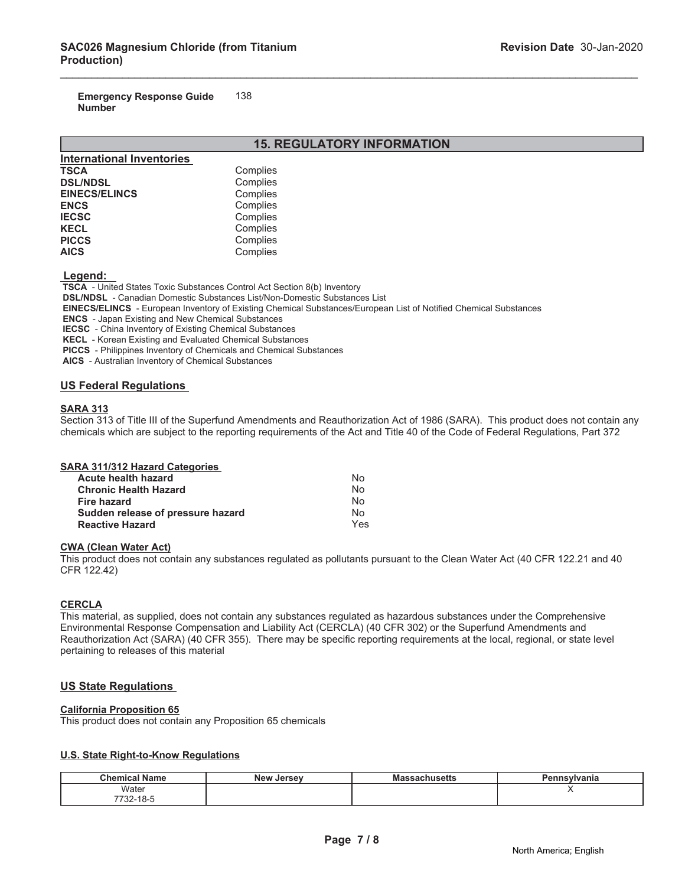**Emergency Response Guide Number** 138

# **15. REGULATORY INFORMATION**

\_\_\_\_\_\_\_\_\_\_\_\_\_\_\_\_\_\_\_\_\_\_\_\_\_\_\_\_\_\_\_\_\_\_\_\_\_\_\_\_\_\_\_\_\_\_\_\_\_\_\_\_\_\_\_\_\_\_\_\_\_\_\_\_\_\_\_\_\_\_\_\_\_\_\_\_\_\_\_\_\_\_\_\_\_\_\_\_\_\_\_\_\_

| <b>International Inventories</b> |          |
|----------------------------------|----------|
| <b>TSCA</b>                      | Complies |
| <b>DSL/NDSL</b>                  | Complies |
| <b>EINECS/ELINCS</b>             | Complies |
| <b>ENCS</b>                      | Complies |
| <b>IECSC</b>                     | Complies |
| <b>KECL</b>                      | Complies |
| <b>PICCS</b>                     | Complies |
| <b>AICS</b>                      | Complies |

#### **Legend:**

 **TSCA** - United States Toxic Substances Control Act Section 8(b) Inventory

 **DSL/NDSL** - Canadian Domestic Substances List/Non-Domestic Substances List

 **EINECS/ELINCS** - European Inventory of Existing Chemical Substances/European List of Notified Chemical Substances

 **ENCS** - Japan Existing and New Chemical Substances

 **IECSC** - China Inventory of Existing Chemical Substances

 **KECL** - Korean Existing and Evaluated Chemical Substances

 **PICCS** - Philippines Inventory of Chemicals and Chemical Substances

 **AICS** - Australian Inventory of Chemical Substances

# **US Federal Regulations**

#### **SARA 313**

Section 313 of Title III of the Superfund Amendments and Reauthorization Act of 1986 (SARA). This product does not contain any chemicals which are subject to the reporting requirements of the Act and Title 40 of the Code of Federal Regulations, Part 372

|  | <b>SARA 311/312 Hazard Categories</b> |  |
|--|---------------------------------------|--|
|  |                                       |  |

| <b>Acute health hazard</b>        | No  |
|-----------------------------------|-----|
| <b>Chronic Health Hazard</b>      | Nο  |
| Fire hazard                       | N٥  |
| Sudden release of pressure hazard | N٥  |
| <b>Reactive Hazard</b>            | Yes |

#### **CWA (Clean Water Act)**

This product does not contain any substances regulated as pollutants pursuant to the Clean Water Act (40 CFR 122.21 and 40 CFR 122.42)

#### **CERCLA**

This material, as supplied, does not contain any substances regulated as hazardous substances under the Comprehensive Environmental Response Compensation and Liability Act (CERCLA) (40 CFR 302) or the Superfund Amendments and Reauthorization Act (SARA) (40 CFR 355). There may be specific reporting requirements at the local, regional, or state level pertaining to releases of this material

#### **US State Regulations**

#### **California Proposition 65**

This product does not contain any Proposition 65 chemicals

#### **U.S. State Right-to-Know Regulations**

| <b>Chemical Name</b>     | New<br>, Jersev∶ | ssachusetts<br>was | ∖nsvlvania<br>Jon |
|--------------------------|------------------|--------------------|-------------------|
| Water                    |                  |                    |                   |
| 7700<br>7-01-32 /<br>___ |                  |                    |                   |